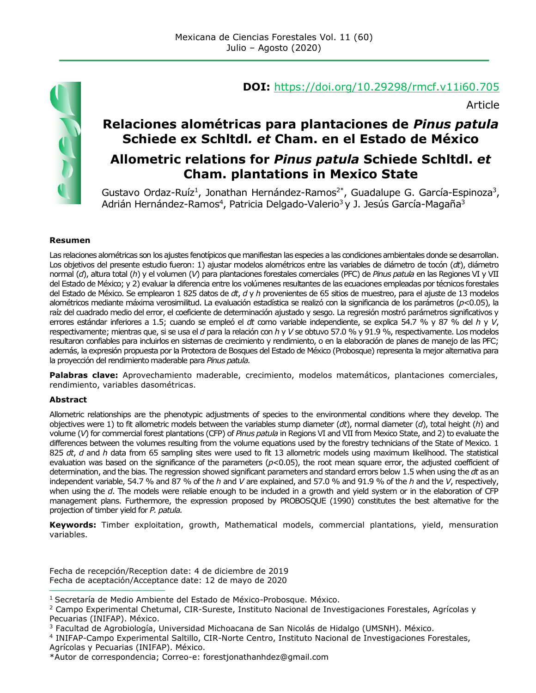

## **DOI:** <https://doi.org/10.29298/rmcf.v11i60.705>

Article

# **Relaciones alométricas para plantaciones de** *Pinus patula*  **Schiede ex Schltdl***. et* **Cham. en el Estado de México**

## **Allometric relations for** *Pinus patula* **Schiede Schltdl.** *et*  **Cham. plantations in Mexico State**

Gustavo Ordaz-Ruíz<sup>1</sup>, Jonathan Hernández-Ramos<sup>2\*</sup>, Guadalupe G. García-Espinoza<sup>3</sup>, Adrián Hernández-Ramos<sup>4</sup>, Patricia Delgado-Valerio<sup>3</sup> y J. Jesús García-Magaña<sup>3</sup>

#### **Resumen**

Las relaciones alométricas son los ajustes fenotípicos que manifiestan las especies a las condiciones ambientales donde se desarrollan. Los objetivos del presente estudio fueron: 1) ajustar modelos alométricos entre las variables de diámetro de tocón (*dt*), diámetro normal (*d*), altura total (*h*) y el volumen (*V*) para plantaciones forestales comerciales (PFC) de *Pinus patula* en las Regiones VI y VII del Estado de México; y 2) evaluar la diferencia entre los volúmenes resultantes de las ecuaciones empleadas por técnicos forestales del Estado de México. Se emplearon 1 825 datos de *dt*, *d* y *h* provenientes de 65 sitios de muestreo, para el ajuste de 13 modelos alométricos mediante máxima verosimilitud. La evaluación estadística se realizó con la significancia de los parámetros (*p<*0.05), la raíz del cuadrado medio del error, el coeficiente de determinación ajustado y sesgo. La regresión mostró parámetros significativos y errores estándar inferiores a 1.5; cuando se empleó el *dt* como variable independiente, se explica 54.7 % y 87 % del *h* y *V*, respectivamente; mientras que, si se usa el *d* para la relación con *h* y *V* se obtuvo 57.0 % y 91.9 %, respectivamente. Los modelos resultaron confiables para incluirlos en sistemas de crecimiento y rendimiento, o en la elaboración de planes de manejo de las PFC; además, la expresión propuesta por la Protectora de Bosques del Estado de México (Probosque) representa la mejor alternativa para la proyección del rendimiento maderable para *Pinus patula.*

**Palabras clave:** Aprovechamiento maderable, crecimiento, modelos matemáticos, plantaciones comerciales, rendimiento, variables dasométricas.

#### **Abstract**

Allometric relationships are the phenotypic adjustments of species to the environmental conditions where they develop. The objectives were 1) to fit allometric models between the variables stump diameter (*dt*), normal diameter (*d*), total height (*h*) and volume (*V*) for commercial forest plantations (CFP) of *Pinus patula* in Regions VI and VII from Mexico State, and 2) to evaluate the differences between the volumes resulting from the volume equations used by the forestry technicians of the State of Mexico. 1 825 *dt*, *d* and *h* data from 65 sampling sites were used to fit 13 allometric models using maximum likelihood. The statistical evaluation was based on the significance of the parameters  $(p<0.05)$ , the root mean square error, the adjusted coefficient of determination, and the bias. The regression showed significant parameters and standard errors below 1.5 when using the *dt* as an independent variable, 54.7 % and 87 % of the *h* and *V* are explained, and 57.0 % and 91.9 % of the *h* and the *V*, respectively, when using the *d*. The models were reliable enough to be included in a growth and yield system or in the elaboration of CFP management plans. Furthermore, the expression proposed by PROBOSQUE (1990) constitutes the best alternative for the projection of timber yield for *P. patula.*

**Keywords:** Timber exploitation, growth, Mathematical models, commercial plantations, yield, mensuration variables.

Fecha de recepción/Reception date: 4 de diciembre de 2019 Fecha de aceptación/Acceptance date: 12 de mayo de 2020 **\_\_\_\_\_\_\_\_\_\_\_\_\_\_\_\_\_\_\_\_\_\_\_\_\_\_\_\_\_\_\_**

<sup>&</sup>lt;sup>1</sup> Secretaría de Medio Ambiente del Estado de México-Probosque. México.

<sup>2</sup> Campo Experimental Chetumal, CIR-Sureste, Instituto Nacional de Investigaciones Forestales, Agrícolas y Pecuarias (INIFAP). México.

<sup>3</sup> Facultad de Agrobiología, Universidad Michoacana de San Nicolás de Hidalgo (UMSNH). México.

<sup>4</sup> INIFAP-Campo Experimental Saltillo, CIR-Norte Centro, Instituto Nacional de Investigaciones Forestales, Agrícolas y Pecuarias (INIFAP). México.

<sup>\*</sup>Autor de correspondencia; Correo-e: [forestjonathanhdez@gmail.com](mailto:forestjonathanhdez@gmail.com)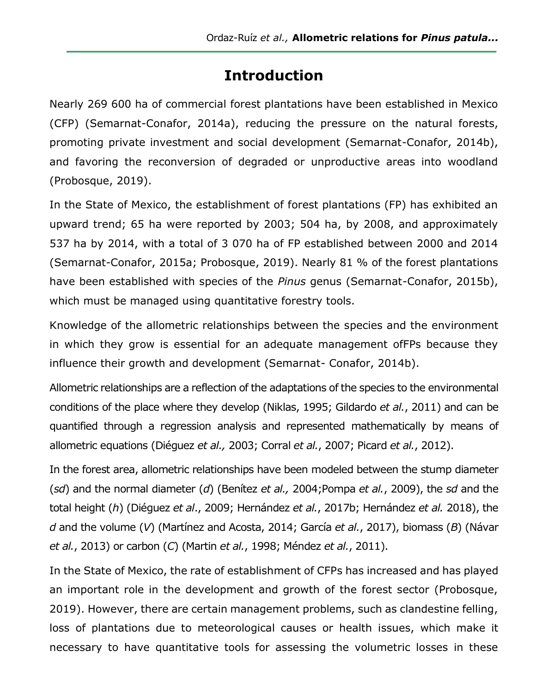# **Introduction**

Nearly 269 600 ha of commercial forest plantations have been established in Mexico (CFP) (Semarnat-Conafor, 2014a), reducing the pressure on the natural forests, promoting private investment and social development (Semarnat-Conafor, 2014b), and favoring the reconversion of degraded or unproductive areas into woodland (Probosque, 2019).

In the State of Mexico, the establishment of forest plantations (FP) has exhibited an upward trend; 65 ha were reported by 2003; 504 ha, by 2008, and approximately 537 ha by 2014, with a total of 3 070 ha of FP established between 2000 and 2014 (Semarnat-Conafor, 2015a; Probosque, 2019). Nearly 81 % of the forest plantations have been established with species of the *Pinus* genus (Semarnat-Conafor, 2015b), which must be managed using quantitative forestry tools.

Knowledge of the allometric relationships between the species and the environment in which they grow is essential for an adequate management ofFPs because they influence their growth and development (Semarnat- Conafor, 2014b).

Allometric relationships are a reflection of the adaptations of the species to the environmental conditions of the place where they develop (Niklas, 1995; Gildardo *et al.*, 2011) and can be quantified through a regression analysis and represented mathematically by means of allometric equations (Diéguez *et al.,* 2003; Corral *et al.*, 2007; Picard *et al.*, 2012).

In the forest area, allometric relationships have been modeled between the stump diameter (*sd*) and the normal diameter (*d*) (Benítez *et al.,* 2004;Pompa *et al.*, 2009), the *sd* and the total height (*h*) (Diéguez *et al*., 2009; Hernández *et al.*, 2017b; Hernández *et al.* 2018), the *d* and the volume (*V*) (Martínez and Acosta, 2014; García *et al.*, 2017), biomass (*B*) (Návar *et al.*, 2013) or carbon (*C*) (Martin *et al.*, 1998; Méndez *et al.*, 2011).

In the State of Mexico, the rate of establishment of CFPs has increased and has played an important role in the development and growth of the forest sector (Probosque, 2019). However, there are certain management problems, such as clandestine felling, loss of plantations due to meteorological causes or health issues, which make it necessary to have quantitative tools for assessing the volumetric losses in these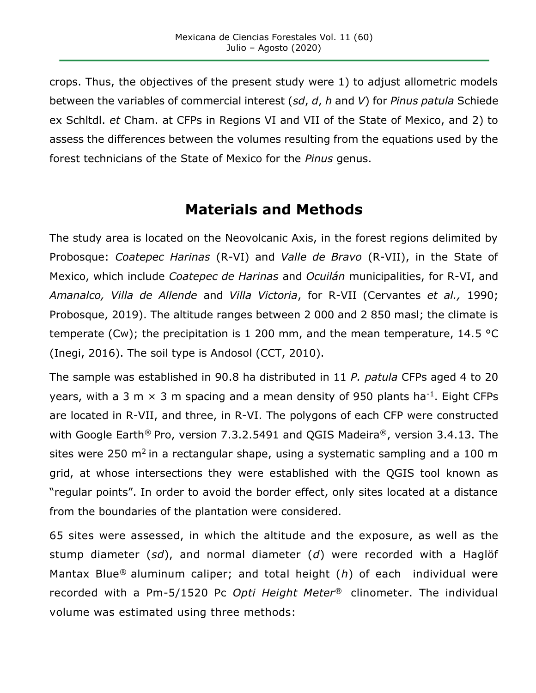crops. Thus, the objectives of the present study were 1) to adjust allometric models between the variables of commercial interest (*sd*, *d*, *h* and *V*) for *Pinus patula* Schiede ex Schltdl. *et* Cham. at CFPs in Regions VI and VII of the State of Mexico, and 2) to assess the differences between the volumes resulting from the equations used by the forest technicians of the State of Mexico for the *Pinus* genus.

# **Materials and Methods**

The study area is located on the Neovolcanic Axis, in the forest regions delimited by Probosque: *Coatepec Harinas* (R-VI) and *Valle de Bravo* (R-VII), in the State of Mexico, which include *Coatepec de Harinas* and *Ocuilán* municipalities, for R-VI, and *Amanalco, Villa de Allende* and *Villa Victoria*, for R-VII (Cervantes *et al.,* 1990; Probosque, 2019). The altitude ranges between 2 000 and 2 850 masl; the climate is temperate (Cw); the precipitation is 1 200 mm, and the mean temperature, 14.5 °C (Inegi, 2016). The soil type is Andosol (CCT, 2010).

The sample was established in 90.8 ha distributed in 11 *P. patula* CFPs aged 4 to 20 years, with a 3 m  $\times$  3 m spacing and a mean density of 950 plants ha<sup>-1</sup>. Eight CFPs are located in R-VII, and three, in R-VI. The polygons of each CFP were constructed with Google Earth<sup>®</sup> Pro, version 7.3.2.5491 and QGIS Madeira<sup>®</sup>, version 3.4.13. The sites were 250  $m^2$  in a rectangular shape, using a systematic sampling and a 100 m grid, at whose intersections they were established with the QGIS tool known as "regular points". In order to avoid the border effect, only sites located at a distance from the boundaries of the plantation were considered.

65 sites were assessed, in which the altitude and the exposure, as well as the stump diameter (*sd*), and normal diameter (*d*) were recorded with a Haglöf Mantax Blue® aluminum caliper; and total height (*h*) of each individual were recorded with a Pm-5/1520 Pc *Opti Height Meter*® clinometer. The individual volume was estimated using three methods: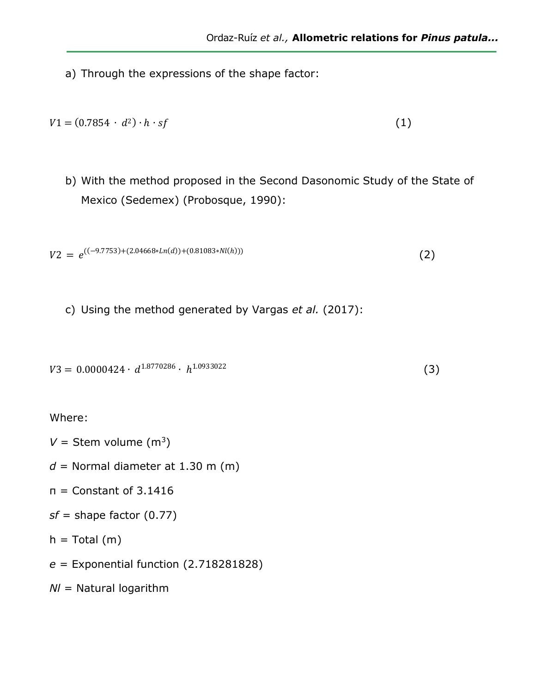a) Through the expressions of the shape factor:

$$
V1 = (0.7854 \cdot d^2) \cdot h \cdot sf \tag{1}
$$

b) With the method proposed in the Second Dasonomic Study of the State of Mexico (Sedemex) (Probosque, 1990):

$$
V2 = e^{((-9.7753) + (2.04668 * ln(d)) + (0.81083 * Nl(h)))}
$$
 (2)

c) Using the method generated by Vargas *et al.* (2017):

```
V3 = 0.0000424 \cdot d^{1.8770286} \cdot h^{1.0933022} (3)
```
Where:

- $V =$  Stem volume (m<sup>3</sup>)
- $d =$  Normal diameter at 1.30 m (m)
- $n =$  Constant of 3.1416
- *sf* = shape factor (0.77)
- $h = Total (m)$
- *e* = Exponential function (2.718281828)

*NI* = Natural logarithm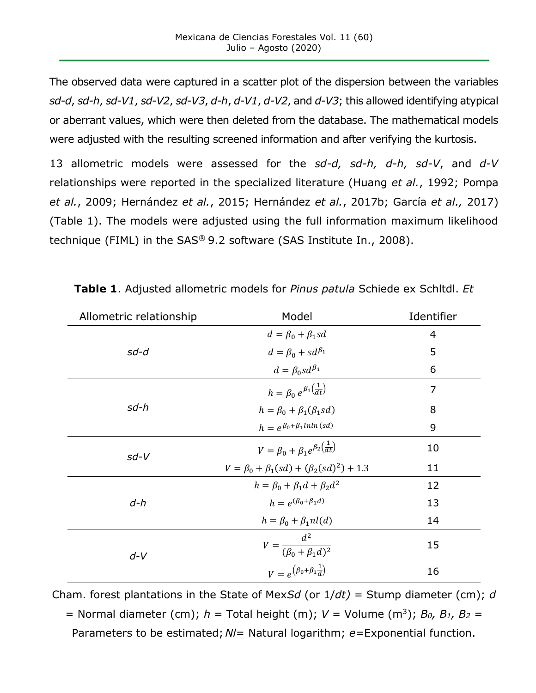The observed data were captured in a scatter plot of the dispersion between the variables *sd-d*, *sd-h*, *sd-V1*, *sd-V2*, *sd-V3*, *d-h*, *d-V1*, *d-V2*, and *d-V3*; this allowed identifying atypical or aberrant values, which were then deleted from the database. The mathematical models were adjusted with the resulting screened information and after verifying the kurtosis.

13 allometric models were assessed for the *sd-d, sd-h, d-h, sd-V*, and *d-V*  relationships were reported in the specialized literature (Huang *et al.*, 1992; Pompa *et al.*, 2009; Hernández *et al.*, 2015; Hernández *et al.*, 2017b; García *et al.,* 2017) (Table 1). The models were adjusted using the full information maximum likelihood technique (FIML) in the SAS® 9.2 software (SAS Institute In., 2008).

| Allometric relationship | Model                                                         | Identifier     |  |  |
|-------------------------|---------------------------------------------------------------|----------------|--|--|
|                         | $d = \beta_0 + \beta_1 sd$                                    | 4              |  |  |
| sd-d                    | $d = \beta_0 + s d^{\beta_1}$                                 | 5              |  |  |
|                         | $d = \beta_0 s d^{\beta_1}$                                   | 6              |  |  |
|                         | $h = \beta_0 e^{\beta_1(\frac{1}{dt})}$                       | $\overline{7}$ |  |  |
| sd-h                    | $h = \beta_0 + \beta_1(\beta_1 sd)$                           | 8              |  |  |
|                         | $h = e^{\beta_0 + \beta_1 ln ln (sd)}$                        | 9              |  |  |
| $sd-V$                  | $V = \beta_0 + \beta_1 e^{\beta_2} \left(\frac{1}{dt}\right)$ | 10             |  |  |
|                         | $V = \beta_0 + \beta_1 (sd) + (\beta_2 (sd)^2) + 1.3$         | 11             |  |  |
|                         | $h = \beta_0 + \beta_1 d + \beta_2 d^2$                       | 12             |  |  |
| $d-h$                   | $h = e^{(\beta_0 + \beta_1 d)}$                               | 13             |  |  |
|                         | $h = \beta_0 + \beta_1 n l(d)$                                | 14             |  |  |
| $d-V$                   | $V=\frac{d^2}{(\beta_0+\beta_1 d)^2}$                         | 15             |  |  |
|                         | $V = e^{(\beta_0 + \beta_1 \frac{1}{d})}$                     | 16             |  |  |

**Table 1**. Adjusted allometric models for *Pinus patula* Schiede ex Schltdl. *Et*

Cham. forest plantations in the State of Mex*Sd* (or 1/*dt)* = Stump diameter (cm); *d* 

= Normal diameter (cm); *h* = Total height (m); *V* = Volume (m<sup>3</sup>); *B0, B1, B<sup>2</sup>* =

Parameters to be estimated; *Nl*= Natural logarithm; *e*=Exponential function.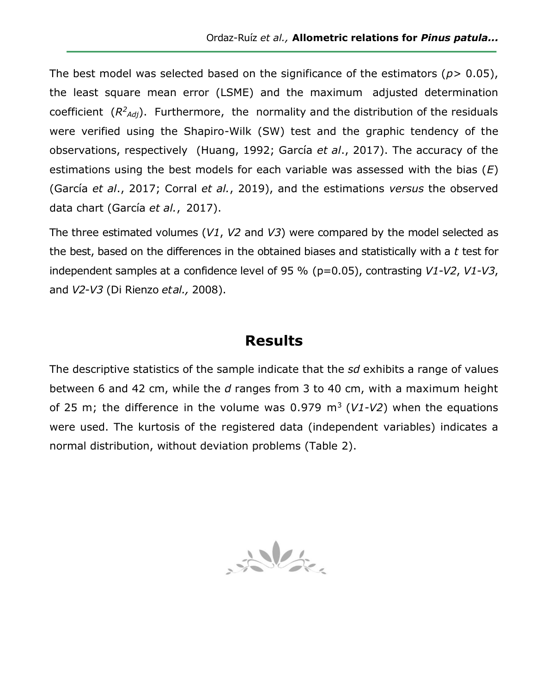The best model was selected based on the significance of the estimators ( $p$  > 0.05), the least square mean error (LSME) and the maximum adjusted determination coefficient  $(R^2_{Adj})$ . Furthermore, the normality and the distribution of the residuals were verified using the Shapiro-Wilk (SW) test and the graphic tendency of the observations, respectively (Huang, 1992; García *et al*., 2017). The accuracy of the estimations using the best models for each variable was assessed with the bias (*E*) (García *et al*., 2017; Corral *et al.*, 2019), and the estimations *versus* the observed data chart (García *et al.*, 2017).

The three estimated volumes (*V1*, *V2* and *V3*) were compared by the model selected as the best, based on the differences in the obtained biases and statistically with a *t* test for independent samples at a confidence level of 95 % (p=0.05), contrasting *V1*-*V2*, *V1*-*V3*, and *V2*-*V3* (Di Rienzo *etal.,* 2008).

## **Results**

The descriptive statistics of the sample indicate that the *sd* exhibits a range of values between 6 and 42 cm, while the *d* ranges from 3 to 40 cm, with a maximum height of 25 m; the difference in the volume was  $0.979$  m<sup>3</sup> ( $V1-V2$ ) when the equations were used. The kurtosis of the registered data (independent variables) indicates a normal distribution, without deviation problems (Table 2).

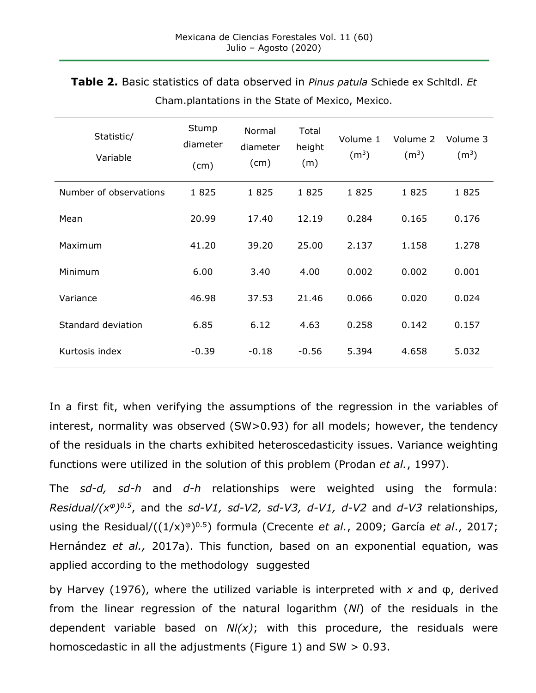| Statistic/<br>Variable | Stump<br>diameter<br>(cm) | Normal<br>diameter<br>(cm) | Total<br>height<br>(m) | Volume 1<br>(m <sup>3</sup> ) | Volume 2<br>(m <sup>3</sup> ) | Volume 3<br>(m <sup>3</sup> ) |
|------------------------|---------------------------|----------------------------|------------------------|-------------------------------|-------------------------------|-------------------------------|
| Number of observations | 1825                      | 1825                       | 1825                   | 1825                          | 1825                          | 1825                          |
| Mean                   | 20.99                     | 17.40                      | 12.19                  | 0.284                         | 0.165                         | 0.176                         |
| Maximum                | 41.20                     | 39.20                      | 25.00                  | 2.137                         | 1.158                         | 1.278                         |
| Minimum                | 6.00                      | 3.40                       | 4.00                   | 0.002                         | 0.002                         | 0.001                         |
| Variance               | 46.98                     | 37.53                      | 21.46                  | 0.066                         | 0.020                         | 0.024                         |
| Standard deviation     | 6.85                      | 6.12                       | 4.63                   | 0.258                         | 0.142                         | 0.157                         |
| Kurtosis index         | $-0.39$                   | $-0.18$                    | $-0.56$                | 5.394                         | 4.658                         | 5.032                         |

**Table 2.** Basic statistics of data observed in *Pinus patula* Schiede ex Schltdl. *Et* Cham.plantations in the State of Mexico, Mexico.

In a first fit, when verifying the assumptions of the regression in the variables of interest, normality was observed (SW>0.93) for all models; however, the tendency of the residuals in the charts exhibited heteroscedasticity issues. Variance weighting functions were utilized in the solution of this problem (Prodan *et al.*, 1997).

The *sd-d, sd-h* and *d-h* relationships were weighted using the formula: *Residual/(x<sup>φ</sup>) 0.5*, and the *sd-V1, sd-V2, sd-V3, d-V1, d-V2* and *d-V3* relationships, using the Residual/((1/x)<sup>φ</sup>) 0.5) formula (Crecente *et al.*, 2009; García *et al*., 2017; Hernández *et al.,* 2017a). This function, based on an exponential equation, was applied according to the methodology suggested

by Harvey (1976), where the utilized variable is interpreted with *x* and φ, derived from the linear regression of the natural logarithm (*Nl*) of the residuals in the dependent variable based on *Nl(x)*; with this procedure, the residuals were homoscedastic in all the adjustments (Figure 1) and  $SW > 0.93$ .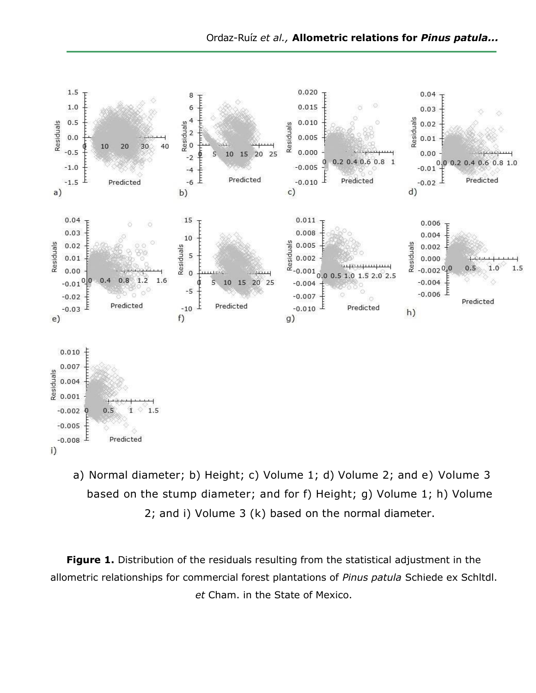

a) Normal diameter; b) Height; c) Volume 1; d) Volume 2; and e) Volume 3 based on the stump diameter; and for f) Height; g) Volume 1; h) Volume 2; and i) Volume 3 (k) based on the normal diameter.

**Figure 1.** Distribution of the residuals resulting from the statistical adjustment in the allometric relationships for commercial forest plantations of *Pinus patula* Schiede ex Schltdl. *et* Cham. in the State of Mexico.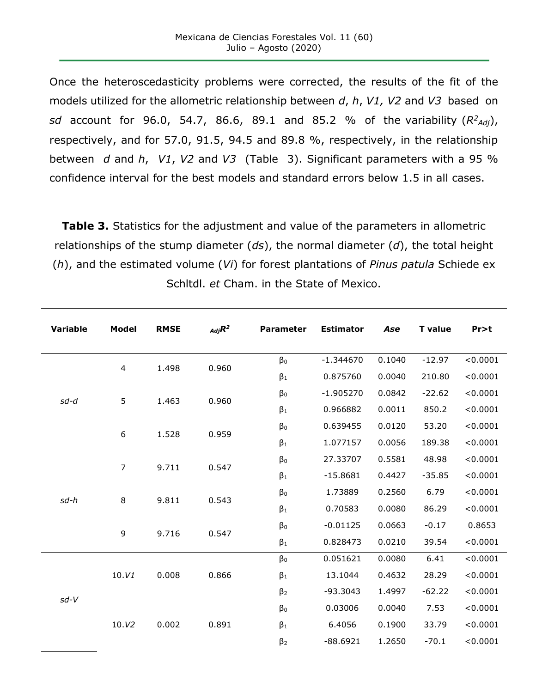Once the heteroscedasticity problems were corrected, the results of the fit of the models utilized for the allometric relationship between *d*, *h*, *V1, V2* and *V3* based on *sd* account for 96.0, 54.7, 86.6, 89.1 and 85.2 % of the variability (*R<sup>2</sup> Adj*), respectively, and for 57.0, 91.5, 94.5 and 89.8 %, respectively, in the relationship between *d* and *h*, *V1*, *V2* and *V3* (Table 3). Significant parameters with a 95 % confidence interval for the best models and standard errors below 1.5 in all cases.

**Table 3.** Statistics for the adjustment and value of the parameters in allometric relationships of the stump diameter (*ds*), the normal diameter (*d*), the total height (*h*), and the estimated volume (*Vi*) for forest plantations of *Pinus patula* Schiede ex Schltdl. *et* Cham. in the State of Mexico.

| Variable                                        | <b>Model</b> | <b>RMSE</b> | $_{Adj}R^2$ | <b>Parameter</b> | <b>Estimator</b> | Ase    | <b>T</b> value | Pr>t     |
|-------------------------------------------------|--------------|-------------|-------------|------------------|------------------|--------|----------------|----------|
| $\overline{4}$<br>5<br>sd-d<br>$\boldsymbol{6}$ |              | 1.498       | 0.960       | $\beta_0$        | $-1.344670$      | 0.1040 | $-12.97$       | < 0.0001 |
|                                                 |              |             |             | $\beta_1$        | 0.875760         | 0.0040 | 210.80         | < 0.0001 |
|                                                 |              | 1.463       | 0.960       | $\beta_0$        | $-1.905270$      | 0.0842 | $-22.62$       | < 0.0001 |
|                                                 |              |             |             | $\beta_1$        | 0.966882         | 0.0011 | 850.2          | < 0.0001 |
|                                                 |              | 1.528       | 0.959       | $\beta_0$        | 0.639455         | 0.0120 | 53.20          | < 0.0001 |
|                                                 |              |             |             | $\beta_1$        | 1.077157         | 0.0056 | 189.38         | < 0.0001 |
| $\overline{7}$<br>8<br>sd-h<br>9                |              | 9.711       | 0.547       | $\beta_0$        | 27.33707         | 0.5581 | 48.98          | < 0.0001 |
|                                                 |              |             |             | $\beta_1$        | $-15.8681$       | 0.4427 | $-35.85$       | < 0.0001 |
|                                                 |              | 9.811       | 0.543       | $\beta_0$        | 1.73889          | 0.2560 | 6.79           | < 0.0001 |
|                                                 |              |             |             | $\beta_1$        | 0.70583          | 0.0080 | 86.29          | < 0.0001 |
|                                                 |              | 9.716       | 0.547       | $\beta_0$        | $-0.01125$       | 0.0663 | $-0.17$        | 0.8653   |
|                                                 |              |             |             | $\beta_1$        | 0.828473         | 0.0210 | 39.54          | < 0.0001 |
| $sd-V$                                          |              | 0.008       | 0.866       | $\beta_0$        | 0.051621         | 0.0080 | 6.41           | < 0.0001 |
|                                                 | 10.V1        |             |             | $\beta_1$        | 13.1044          | 0.4632 | 28.29          | < 0.0001 |
|                                                 |              |             |             | $\beta_2$        | $-93.3043$       | 1.4997 | $-62.22$       | < 0.0001 |
|                                                 |              |             |             | $\beta_0$        | 0.03006          | 0.0040 | 7.53           | < 0.0001 |
|                                                 | 10.V2        | 0.002       | 0.891       | $\beta_1$        | 6.4056           | 0.1900 | 33.79          | < 0.0001 |
|                                                 |              |             |             | $\beta_2$        | $-88.6921$       | 1.2650 | $-70.1$        | < 0.0001 |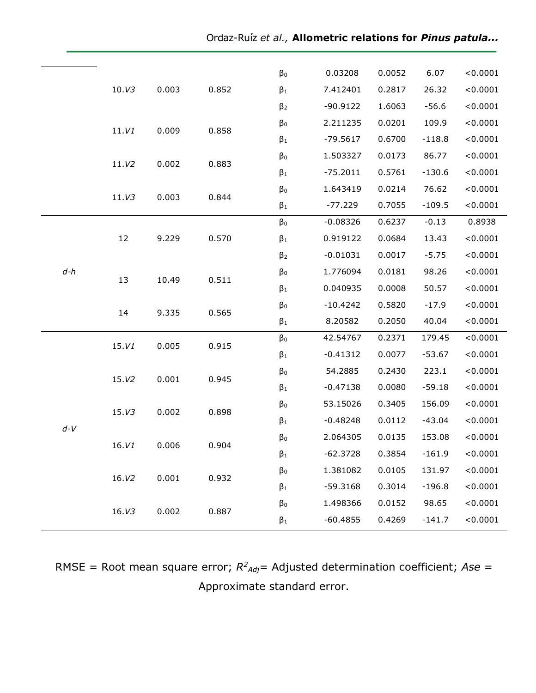| 10.V3                                      |                |       |           | $\beta_0$  | 0.03208    | 0.0052   | 6.07     | < 0.0001 |
|--------------------------------------------|----------------|-------|-----------|------------|------------|----------|----------|----------|
|                                            |                | 0.003 | 0.852     | $\beta_1$  | 7.412401   | 0.2817   | 26.32    | < 0.0001 |
|                                            |                |       | $\beta_2$ | $-90.9122$ | 1.6063     | $-56.6$  | < 0.0001 |          |
|                                            | 0.009<br>11.V1 | 0.858 | $\beta_0$ | 2.211235   | 0.0201     | 109.9    | < 0.0001 |          |
|                                            |                |       |           | $\beta_1$  | $-79.5617$ | 0.6700   | $-118.8$ | < 0.0001 |
|                                            |                | 0.883 | $\beta_0$ | 1.503327   | 0.0173     | 86.77    | < 0.0001 |          |
|                                            | 11.V2          | 0.002 |           | $\beta_1$  | $-75.2011$ | 0.5761   | $-130.6$ | < 0.0001 |
|                                            | 0.003<br>11.V3 |       | $\beta_0$ | 1.643419   | 0.0214     | 76.62    | < 0.0001 |          |
|                                            |                |       | 0.844     | $\beta_1$  | $-77.229$  | 0.7055   | $-109.5$ | < 0.0001 |
|                                            |                |       |           | $\beta_0$  | $-0.08326$ | 0.6237   | $-0.13$  | 0.8938   |
|                                            | 12             | 9.229 | 0.570     | $\beta_1$  | 0.919122   | 0.0684   | 13.43    | < 0.0001 |
|                                            |                |       |           | $\beta_2$  | $-0.01031$ | 0.0017   | $-5.75$  | < 0.0001 |
| $d-h$                                      | 13             |       | 0.511     | $\beta_0$  | 1.776094   | 0.0181   | 98.26    | < 0.0001 |
|                                            |                | 10.49 |           | $\beta_1$  | 0.040935   | 0.0008   | 50.57    | < 0.0001 |
|                                            | 14             |       | 0.565     | $\beta_0$  | $-10.4242$ | 0.5820   | $-17.9$  | < 0.0001 |
|                                            |                | 9.335 |           | $\beta_1$  | 8.20582    | 0.2050   | 40.04    | < 0.0001 |
| 15.V1<br>15.V2<br>15. V3<br>$d-V$<br>16.V1 |                | 0.005 | 0.915     | $\beta_0$  | 42.54767   | 0.2371   | 179.45   | < 0.0001 |
|                                            |                |       |           | $\beta_1$  | $-0.41312$ | 0.0077   | $-53.67$ | < 0.0001 |
|                                            |                | 0.001 | 0.945     | $\beta_0$  | 54.2885    | 0.2430   | 223.1    | < 0.0001 |
|                                            |                |       | $\beta_1$ | $-0.47138$ | 0.0080     | $-59.18$ | < 0.0001 |          |
|                                            |                | 0.002 | 0.898     | $\beta_0$  | 53.15026   | 0.3405   | 156.09   | < 0.0001 |
|                                            |                |       |           | $\beta_1$  | $-0.48248$ | 0.0112   | $-43.04$ | < 0.0001 |
|                                            |                | 0.006 | 0.904     | $\beta_0$  | 2.064305   | 0.0135   | 153.08   | < 0.0001 |
|                                            |                |       |           | $\beta_1$  | $-62.3728$ | 0.3854   | $-161.9$ | < 0.0001 |
|                                            | 16.V2          | 0.001 | 0.932     | $\beta_0$  | 1.381082   | 0.0105   | 131.97   | < 0.0001 |
|                                            |                |       |           | $\beta_1$  | $-59.3168$ | 0.3014   | $-196.8$ | < 0.0001 |
|                                            | 16.V3          | 0.002 | 0.887     | $\beta_0$  | 1.498366   | 0.0152   | 98.65    | < 0.0001 |
|                                            |                |       |           | $\beta_1$  | $-60.4855$ | 0.4269   | $-141.7$ | < 0.0001 |

RMSE = Root mean square error;  $R^2_{Adj}=$  Adjusted determination coefficient; Ase = Approximate standard error.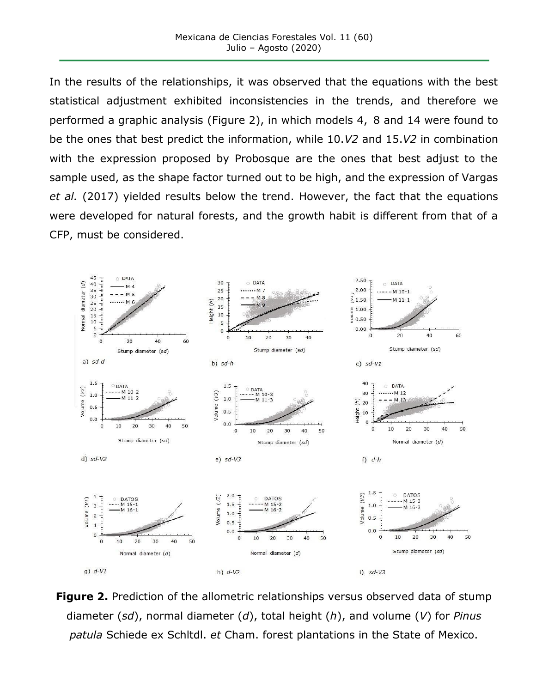In the results of the relationships, it was observed that the equations with the best statistical adjustment exhibited inconsistencies in the trends, and therefore we performed a graphic analysis (Figure 2), in which models 4, 8 and 14 were found to be the ones that best predict the information, while 10.*V2* and 15.*V2* in combination with the expression proposed by Probosque are the ones that best adjust to the sample used, as the shape factor turned out to be high, and the expression of Vargas *et al.* (2017) yielded results below the trend. However, the fact that the equations were developed for natural forests, and the growth habit is different from that of a CFP, must be considered.



**Figure 2.** Prediction of the allometric relationships versus observed data of stump diameter (*sd*), normal diameter (*d*), total height (*h*), and volume (*V*) for *Pinus patula* Schiede ex Schltdl. *et* Cham. forest plantations in the State of Mexico.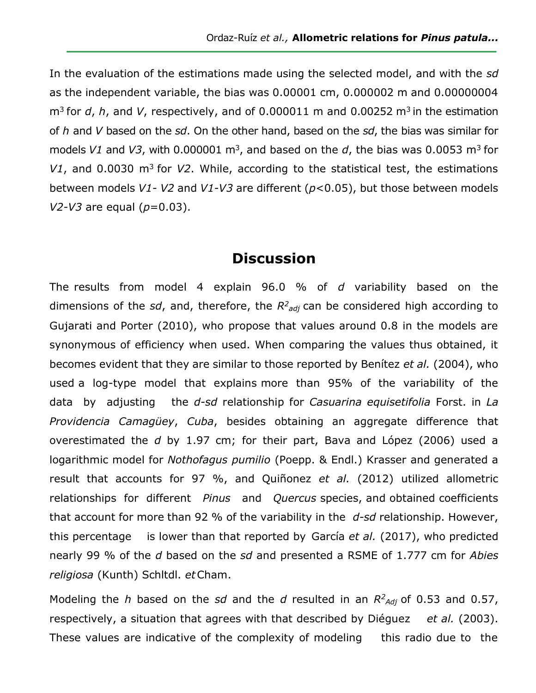In the evaluation of the estimations made using the selected model, and with the *sd*  as the independent variable, the bias was 0.00001 cm, 0.000002 m and 0.00000004 m<sup>3</sup> for *d*, *h*, and *V*, respectively, and of 0.000011 m and 0.00252 m<sup>3</sup> in the estimation of *h* and *V* based on the *sd*. On the other hand, based on the *sd*, the bias was similar for models V1 and V3, with 0.000001 m<sup>3</sup>, and based on the d, the bias was 0.0053 m<sup>3</sup> for *V1*, and 0.0030 m<sup>3</sup> for *V2*. While, according to the statistical test, the estimations between models *V1- V2* and *V1-V3* are different (*p*<0.05), but those between models *V2-V3* are equal (*p*=0.03).

# **Discussion**

The results from model 4 explain 96.0 % of *d* variability based on the dimensions of the *sd*, and, therefore, the  $R^2$ <sub>adj</sub> can be considered high according to Gujarati and Porter (2010), who propose that values around 0.8 in the models are synonymous of efficiency when used. When comparing the values thus obtained, it becomes evident that they are similar to those reported by Benítez *et al.* (2004), who used a log-type model that explains more than 95% of the variability of the data by adjusting the *d-sd* relationship for *Casuarina equisetifolia* Forst. in *La Providencia Camagüey*, *Cuba*, besides obtaining an aggregate difference that overestimated the *d* by 1.97 cm; for their part, Bava and López (2006) used a logarithmic model for *Nothofagus pumilio* (Poepp. & Endl.) Krasser and generated a result that accounts for 97 %, and Quiñonez *et al.* (2012) utilized allometric relationships for different *Pinus* and *Quercus* species, and obtained coefficients that account for more than 92 % of the variability in the *d-sd* relationship. However, this percentage is lower than that reported by García *et al.* (2017), who predicted nearly 99 % of the *d* based on the *sd* and presented a RSME of 1.777 cm for *Abies religiosa* (Kunth) Schltdl. *et*Cham.

Modeling the *h* based on the *sd* and the *d* resulted in an  $R^2$ <sub>Adj</sub> of 0.53 and 0.57, respectively, a situation that agrees with that described by Diéguez *et al.* (2003). These values are indicative of the complexity of modeling this radio due to the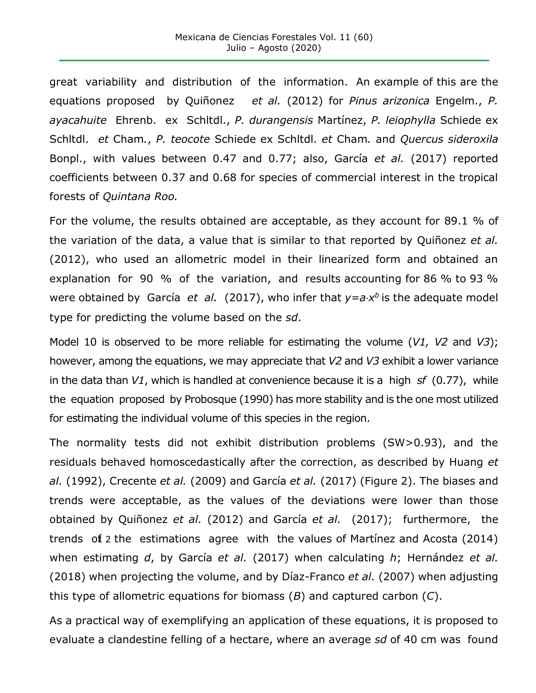great variability and distribution of the information. An example of this are the equations proposed by Quiñonez *et al.* (2012) for *Pinus arizonica* Engelm., *P. ayacahuite* Ehrenb. ex Schltdl., *P. durangensis* Martínez, *P. leiophylla* Schiede ex Schltdl. *et* Cham*.*, *P. teocote* Schiede ex Schltdl. *et* Cham*.* and *Quercus sideroxila*  Bonpl., with values between 0.47 and 0.77; also, García *et al.* (2017) reported coefficients between 0.37 and 0.68 for species of commercial interest in the tropical forests of *Quintana Roo.*

For the volume, the results obtained are acceptable, as they account for 89.1 % of the variation of the data, a value that is similar to that reported by Quiñonez *et al.*  (2012), who used an allometric model in their linearized form and obtained an explanation for 90 % of the variation, and results accounting for 86 % to 93 % were obtained by García *et al.* (2017), who infer that  $y=a\cdot x^b$  is the adequate model type for predicting the volume based on the *sd*.

Model 10 is observed to be more reliable for estimating the volume (*V1, V2* and *V3*); however, among the equations, we may appreciate that *V2* and *V3* exhibit a lower variance in the data than *V1*, which is handled at convenience because it is a high *sf* (0.77), while the equation proposed by Probosque (1990) has more stability and is the one most utilized for estimating the individual volume of this species in the region.

The normality tests did not exhibit distribution problems (SW>0.93), and the residuals behaved homoscedastically after the correction, as described by Huang *et al.* (1992), Crecente *et al.* (2009) and García *et al.* (2017) (Figure 2). The biases and trends were acceptable, as the values of the deviations were lower than those obtained by Quiñonez *et al.* (2012) and García *et al.* (2017); furthermore, the trends of 2 the estimations agree with the values of Martinez and Acosta (2014) when estimating *d*, by García *et al.* (2017) when calculating *h*; Hernández *et al.*  (2018) when projecting the volume, and by Díaz-Franco *et al.* (2007) when adjusting this type of allometric equations for biomass (*B*) and captured carbon (*C*).

As a practical way of exemplifying an application of these equations, it is proposed to evaluate a clandestine felling of a hectare, where an average *sd* of 40 cm was found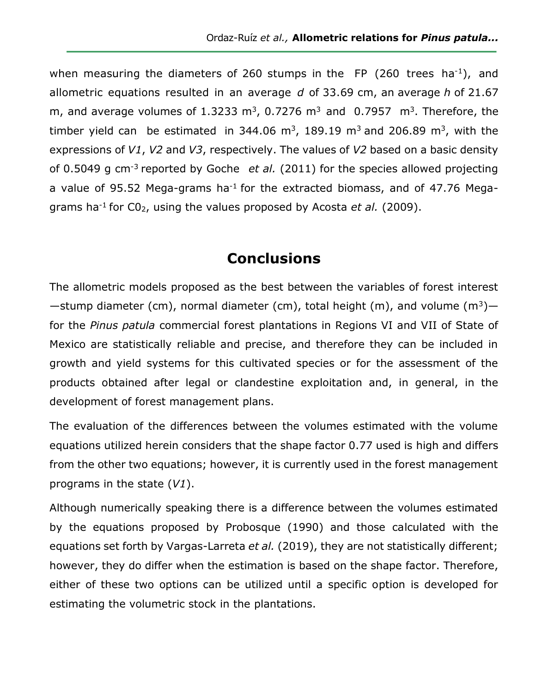when measuring the diameters of 260 stumps in the  $FP$  (260 trees ha<sup>-1</sup>), and allometric equations resulted in an average *d* of 33.69 cm, an average *h* of 21.67 m, and average volumes of 1.3233 m<sup>3</sup>, 0.7276 m<sup>3</sup> and 0.7957 m<sup>3</sup>. Therefore, the timber yield can be estimated in 344.06 m<sup>3</sup>, 189.19 m<sup>3</sup> and 206.89 m<sup>3</sup>, with the expressions of *V1*, *V2* and *V3*, respectively. The values of *V2* based on a basic density of 0.5049 g cm<sup>-3</sup> reported by Goche *et al.* (2011) for the species allowed projecting a value of 95.52 Mega-grams ha<sup>-1</sup> for the extracted biomass, and of 47.76 Megagrams ha-1 for C02, using the values proposed by Acosta *et al.* (2009).

# **Conclusions**

The allometric models proposed as the best between the variables of forest interest —stump diameter (cm), normal diameter (cm), total height (m), and volume (m<sup>3</sup>) for the *Pinus patula* commercial forest plantations in Regions VI and VII of State of Mexico are statistically reliable and precise, and therefore they can be included in growth and yield systems for this cultivated species or for the assessment of the products obtained after legal or clandestine exploitation and, in general, in the development of forest management plans.

The evaluation of the differences between the volumes estimated with the volume equations utilized herein considers that the shape factor 0.77 used is high and differs from the other two equations; however, it is currently used in the forest management programs in the state (*V1*).

Although numerically speaking there is a difference between the volumes estimated by the equations proposed by Probosque (1990) and those calculated with the equations set forth by Vargas-Larreta *et al.* (2019), they are not statistically different; however, they do differ when the estimation is based on the shape factor. Therefore, either of these two options can be utilized until a specific option is developed for estimating the volumetric stock in the plantations.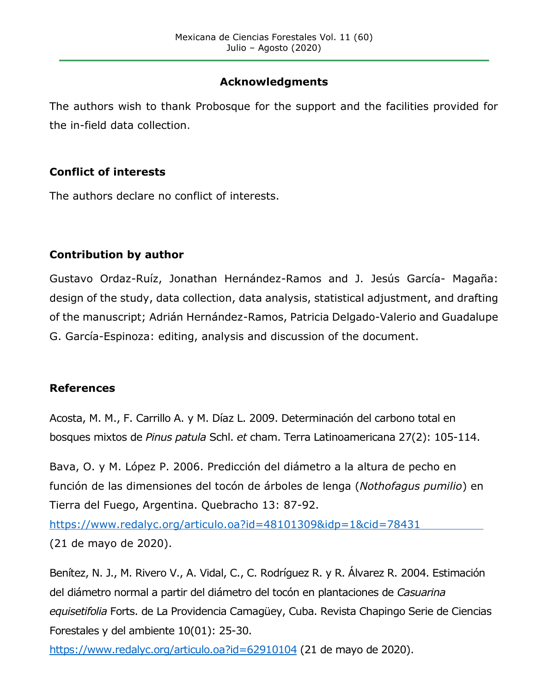## **Acknowledgments**

The authors wish to thank Probosque for the support and the facilities provided for the in-field data collection.

## **Conflict of interests**

The authors declare no conflict of interests.

## **Contribution by author**

Gustavo Ordaz-Ruíz, Jonathan Hernández-Ramos and J. Jesús García- Magaña: design of the study, data collection, data analysis, statistical adjustment, and drafting of the manuscript; Adrián Hernández-Ramos, Patricia Delgado-Valerio and Guadalupe G. García-Espinoza: editing, analysis and discussion of the document.

### **References**

Acosta, M. M., F. Carrillo A. y M. Díaz L. 2009. Determinación del carbono total en bosques mixtos de *Pinus patula* Schl. *et* cham. Terra Latinoamericana 27(2): 105-114.

Bava, O. y M. López P. 2006. Predicción del diámetro a la altura de pecho en función de las dimensiones del tocón de árboles de lenga (*Nothofagus pumilio*) en Tierra del Fuego, Argentina. Quebracho 13: 87-92.

<https://www.redalyc.org/articulo.oa?id=48101309&idp=1&cid=78431> (21 de mayo de 2020).

Benítez, N. J., M. Rivero V., A. Vidal, C., C. Rodríguez R. y R. Álvarez R. 2004. Estimación del diámetro normal a partir del diámetro del tocón en plantaciones de *Casuarina equisetifolia* Forts. de La Providencia Camagüey, Cuba. Revista Chapingo Serie de Ciencias Forestales y del ambiente 10(01): 25-30.

<https://www.redalyc.org/articulo.oa?id=62910104> (21 de mayo de 2020).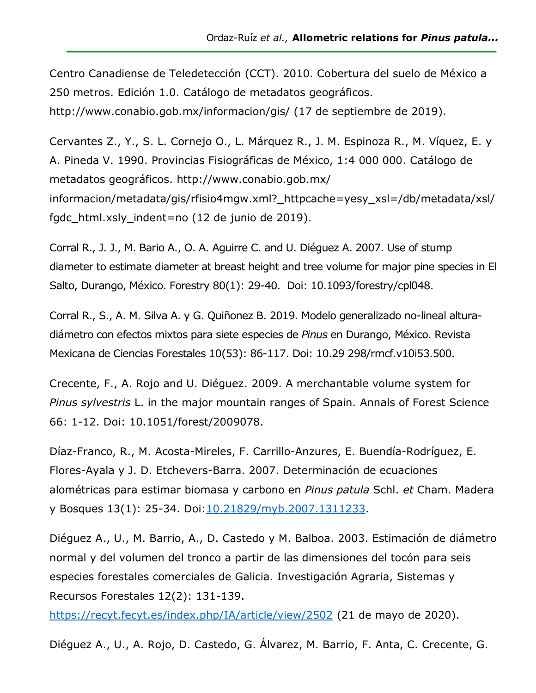Centro Canadiense de Teledetección (CCT). 2010. Cobertura del suelo de México a 250 metros. Edición 1.0. Catálogo de metadatos geográficos. http://www.conabio.gob.mx/informacion/gis/ (17 de septiembre de 2019).

Cervantes Z., Y., S. L. Cornejo O., L. Márquez R., J. M. Espinoza R., M. Víquez, E. y A. Pineda V. 1990. Provincias Fisiográficas de México, 1:4 000 000. Catálogo de metadatos geográficos. http://www.conabio.gob.mx/ informacion/metadata/gis/rfisio4mgw.xml? httpcache=yesy\_xsl=/db/metadata/xsl/ fgdc\_html.xsly\_indent=no (12 de junio de 2019).

Corral R., J. J., M. Bario A., O. A. Aguirre C. and U. Diéguez A. 2007. Use of stump diameter to estimate diameter at breast height and tree volume for major pine species in El Salto, Durango, México. Forestry 80(1): 29-40. Doi: [10.1093/forestry/cpl048.](https://doi.org/10.1093/forestry/cpl048)

Corral R., S., A. M. Silva A. y G. Quiñonez B. 2019. Modelo generalizado no-lineal alturadiámetro con efectos mixtos para siete especies de *Pinus* en Durango, México. Revista Mexicana de Ciencias Forestales 10(53): 86-117. Doi: 10.29 298/rmcf.v10i53.500.

Crecente, F., A. Rojo and U. Diéguez. 2009. A merchantable volume system for *Pinus sylvestris* L. in the major mountain ranges of Spain. Annals of Forest Science 66: 1-12. Doi: 10.1051/forest/2009078.

Díaz-Franco, R., M. Acosta-Mireles, F. Carrillo-Anzures, E. Buendía-Rodríguez, E. Flores-Ayala y J. D. Etchevers-Barra. 2007. Determinación de ecuaciones alométricas para estimar biomasa y carbono en *Pinus patula* Schl. *et* Cham. Madera y Bosques 13(1): 25-34. Doi: 10.21829/myb.2007.1311233.

Diéguez A., U., M. Barrio, A., D. Castedo y M. Balboa. 2003. Estimación de diámetro normal y del volumen del tronco a partir de las dimensiones del tocón para seis especies forestales comerciales de Galicia. Investigación Agraria, Sistemas y Recursos Forestales 12(2): 131-139.

<https://recyt.fecyt.es/index.php/IA/article/view/2502> (21 de mayo de 2020).

Diéguez A., U., A. Rojo, D. Castedo, G. Álvarez, M. Barrio, F. Anta, C. Crecente, G.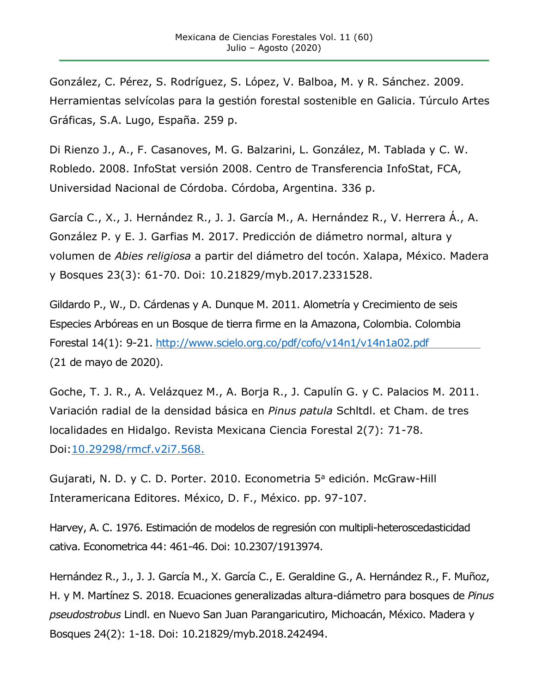González, C. Pérez, S. Rodríguez, S. López, V. Balboa, M. y R. Sánchez. 2009. Herramientas selvícolas para la gestión forestal sostenible en Galicia. Túrculo Artes Gráficas, S.A. Lugo, España. 259 p.

Di Rienzo J., A., F. Casanoves, M. G. Balzarini, L. González, M. Tablada y C. W. Robledo. 2008. InfoStat versión 2008. Centro de Transferencia InfoStat, FCA, Universidad Nacional de Córdoba. Córdoba, Argentina. 336 p.

García C., X., J. Hernández R., J. J. García M., A. Hernández R., V. Herrera Á., A. González P. y E. J. Garfias M. 2017. Predicción de diámetro normal, altura y volumen de *Abies religiosa* a partir del diámetro del tocón. Xalapa, México. Madera y Bosques 23(3): 61-70. Doi: 10.21829/myb.2017.2331528.

Gildardo P., W., D. Cárdenas y A. Dunque M. 2011. Alometría y Crecimiento de seis Especies Arbóreas en un Bosque de tierra firme en la Amazona, Colombia. Colombia Forestal 14(1): 9-21.<http://www.scielo.org.co/pdf/cofo/v14n1/v14n1a02.pdf> (21 de mayo de 2020).

Goche, T. J. R., A. Velázquez M., A. Borja R., J. Capulín G. y C. Palacios M. 2011. Variación radial de la densidad básica en *Pinus patula* Schltdl. et Cham. de tres localidades en Hidalgo. Revista Mexicana Ciencia Forestal 2(7): 71-78. [Doi:10.29298/rmcf.v2i7.568.](https://doi.org/10.29298/rmcf.v2i7.568)

Gujarati, N. D. y C. D. Porter. 2010. Econometria 5<sup>a</sup> edición. McGraw-Hill Interamericana Editores. México, D. F., México. pp. 97-107.

Harvey, A. C. 1976. Estimación de modelos de regresión con multipli-heteroscedasticidad cativa. Econometrica 44: 461-46. Doi: 10.2307/1913974.

Hernández R., J., J. J. García M., X. García C., E. Geraldine G., A. Hernández R., F. Muñoz, H. y M. Martínez S. 2018. Ecuaciones generalizadas altura-diámetro para bosques de *Pinus pseudostrobus* Lindl. en Nuevo San Juan Parangaricutiro, Michoacán, México. Madera y Bosques 24(2): 1-18. Doi: 10.21829/myb.2018.242494.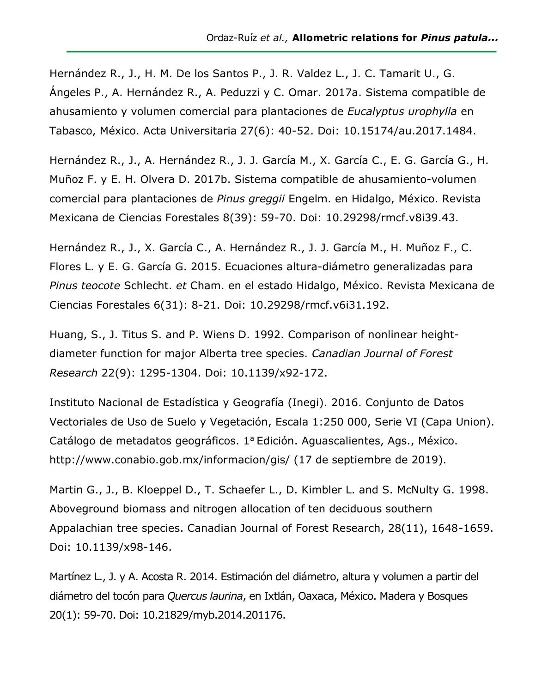Hernández R., J., H. M. De los Santos P., J. R. Valdez L., J. C. Tamarit U., G. Ángeles P., A. Hernández R., A. Peduzzi y C. Omar. 2017a. Sistema compatible de ahusamiento y volumen comercial para plantaciones de *Eucalyptus urophylla* en Tabasco, México. Acta Universitaria 27(6): 40-52. Doi: 10.15174/au.2017.1484.

Hernández R., J., A. Hernández R., J. J. García M., X. García C., E. G. García G., H. Muñoz F. y E. H. Olvera D. 2017b. Sistema compatible de ahusamiento-volumen comercial para plantaciones de *Pinus greggii* Engelm. en Hidalgo, México. Revista Mexicana de Ciencias Forestales 8(39): 59-70. Doi: 10.29298/rmcf.v8i39.43.

Hernández R., J., X. García C., A. Hernández R., J. J. García M., H. Muñoz F., C. Flores L. y E. G. García G. 2015. Ecuaciones altura-diámetro generalizadas para *Pinus teocote* Schlecht. *et* Cham. en el estado Hidalgo, México. Revista Mexicana de Ciencias Forestales 6(31): 8-21. Doi: 10.29298/rmcf.v6i31.192.

Huang, S., J. Titus S. and P. Wiens D. 1992. Comparison of nonlinear heightdiameter function for major Alberta tree species. *Canadian Journal of Forest Research* 22(9): 1295-1304. Doi: [10.1139/x92-172.](https://doi.org/10.1139/x92-172)

Instituto Nacional de Estadística y Geografía (Inegi). 2016. Conjunto de Datos Vectoriales de Uso de Suelo y Vegetación, Escala 1:250 000, Serie VI (Capa Union). Catálogo de metadatos geográficos. 1ª Edición. Aguascalientes, Ags., México. http://www.conabio.gob.mx/informacion/gis/ (17 de septiembre de 2019).

Martin G., J., B. Kloeppel D., T. Schaefer L., D. Kimbler L. and S. McNulty G. 1998. Aboveground biomass and nitrogen allocation of ten deciduous southern Appalachian tree species. Canadian Journal of Forest Research, 28(11), 1648-1659. Doi: [10.1139/x98-146.](https://doi.org/10.1139/x98-146)

Martínez L., J. y A. Acosta R. 2014. Estimación del diámetro, altura y volumen a partir del diámetro del tocón para *Quercus laurina*, en Ixtlán, Oaxaca, México. Madera y Bosques 20(1): 59-70. Doi: 10.21829/myb.2014.201176.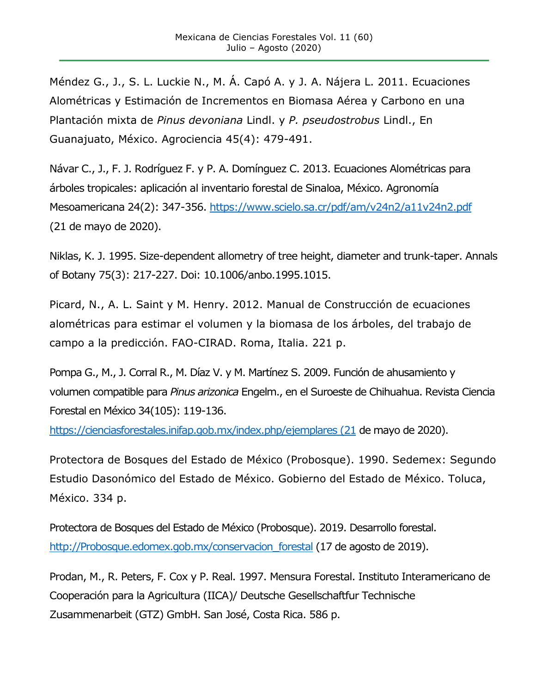Méndez G., J., S. L. Luckie N., M. Á. Capó A. y J. A. Nájera L. 2011. Ecuaciones Alométricas y Estimación de Incrementos en Biomasa Aérea y Carbono en una Plantación mixta de *Pinus devoniana* Lindl. y *P. pseudostrobus* Lindl., En Guanajuato, México. Agrociencia 45(4): 479-491.

Návar C., J., F. J. Rodríguez F. y P. A. Domínguez C. 2013. Ecuaciones Alométricas para árboles tropicales: aplicación al inventario forestal de Sinaloa, México. Agronomía Mesoamericana 24(2): 347-356.<https://www.scielo.sa.cr/pdf/am/v24n2/a11v24n2.pdf> (21 de mayo de 2020).

Niklas, K. J. 1995. Size-dependent allometry of tree height, diameter and trunk-taper. Annals of Botany 75(3): 217-227. Doi: 10.1006/anbo.1995.1015.

Picard, N., A. L. Saint y M. Henry. 2012. Manual de Construcción de ecuaciones alométricas para estimar el volumen y la biomasa de los árboles, del trabajo de campo a la predicción. FAO-CIRAD. Roma, Italia. 221 p.

Pompa G., M., J. Corral R., M. Díaz V. y M. Martínez S. 2009. Función de ahusamiento y volumen compatible para *Pinus arizonica* Engelm., en el Suroeste de Chihuahua. Revista Ciencia Forestal en México 34(105): 119-136.

[https://cienciasforestales.inifap.gob.mx/index.php/ejemplares \(21](https://cienciasforestales.inifap.gob.mx/index.php/ejemplares%20(21) de mayo de 2020).

Protectora de Bosques del Estado de México (Probosque). 1990. Sedemex: Segundo Estudio Dasonómico del Estado de México. Gobierno del Estado de México. Toluca, México. 334 p.

Protectora de Bosques del Estado de México (Probosque). 2019. Desarrollo forestal. [http://Probosque.edomex.gob.mx/conservacion\\_forestal](http://probosque.edomex.gob.mx/conservacion_forestal) (17 de agosto de 2019).

Prodan, M., R. Peters, F. Cox y P. Real. 1997. Mensura Forestal. Instituto Interamericano de Cooperación para la Agricultura (IICA)/ Deutsche Gesellschaftfur Technische Zusammenarbeit (GTZ) GmbH. San José, Costa Rica. 586 p.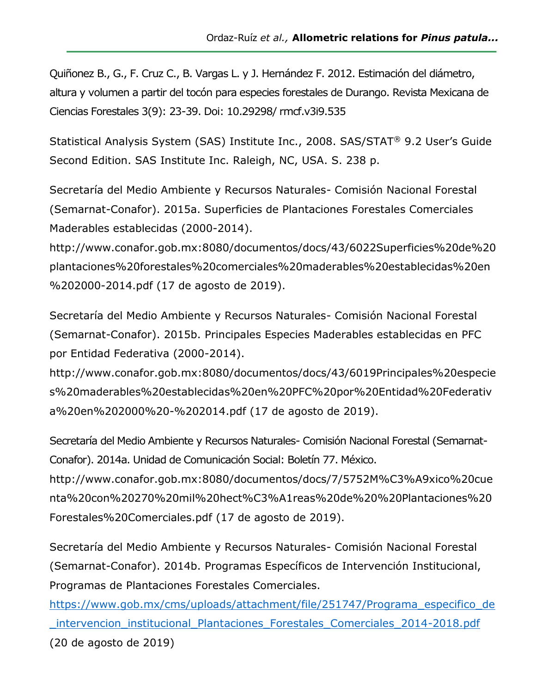Quiñonez B., G., F. Cruz C., B. Vargas L. y J. Hernández F. 2012. Estimación del diámetro, altura y volumen a partir del tocón para especies forestales de Durango. Revista Mexicana de Ciencias Forestales 3(9): 23-39. Doi: 10.29298/ rmcf.v3i9.535

Statistical Analysis System (SAS) Institute Inc., 2008. SAS/STAT® 9.2 User's Guide Second Edition. SAS Institute Inc. Raleigh, NC, USA. S. 238 p.

Secretaría del Medio Ambiente y Recursos Naturales- Comisión Nacional Forestal (Semarnat-Conafor). 2015a. Superficies de Plantaciones Forestales Comerciales Maderables establecidas (2000-2014).

[http://www.conafor.gob.mx:8080/documentos/docs/43/6022Superficies%20de%20](http://www.conafor.gob.mx:8080/documentos/docs/43/6022Superficies%20de%20plantaciones%20forestales%20comerciales%20maderables%20establecidas%20en%202000-2014.pdf) [plantaciones%20forestales%20comerciales%20maderables%20establecidas%20en](http://www.conafor.gob.mx:8080/documentos/docs/43/6022Superficies%20de%20plantaciones%20forestales%20comerciales%20maderables%20establecidas%20en%202000-2014.pdf) [%202000-2014.pdf](http://www.conafor.gob.mx:8080/documentos/docs/43/6022Superficies%20de%20plantaciones%20forestales%20comerciales%20maderables%20establecidas%20en%202000-2014.pdf) (17 de agosto de 2019).

Secretaría del Medio Ambiente y Recursos Naturales- Comisión Nacional Forestal (Semarnat-Conafor). 2015b. Principales Especies Maderables establecidas en PFC por Entidad Federativa (2000-2014).

[http://www.conafor.gob.mx:8080/documentos/docs/43/6019Principales%20especie](http://www.conafor.gob.mx:8080/documentos/docs/43/6019Principales%20especies%20maderables%20establecidas%20en%20PFC%20por%20Entidad%20Federativa%20en%202000%20-%202014.pdf) [s%20maderables%20establecidas%20en%20PFC%20por%20Entidad%20Federativ](http://www.conafor.gob.mx:8080/documentos/docs/43/6019Principales%20especies%20maderables%20establecidas%20en%20PFC%20por%20Entidad%20Federativa%20en%202000%20-%202014.pdf) [a%20en%202000%20-%202014.pdf](http://www.conafor.gob.mx:8080/documentos/docs/43/6019Principales%20especies%20maderables%20establecidas%20en%20PFC%20por%20Entidad%20Federativa%20en%202000%20-%202014.pdf) (17 de agosto de 2019).

Secretaría del Medio Ambiente y Recursos Naturales- Comisión Nacional Forestal (Semarnat-Conafor). 2014a. Unidad de Comunicación Social: Boletín 77. México.

http://www.conafor.gob.mx:8080/documentos/docs/7/5752M%C3%A9xico%20cue nta%20con%20270%20mil%20hect%C3%A1reas%20de%20%20Plantaciones%20 Forestales%20Comerciales.pdf (17 de agosto de 2019).

Secretaría del Medio Ambiente y Recursos Naturales- Comisión Nacional Forestal (Semarnat-Conafor). 2014b. Programas Específicos de Intervención Institucional, Programas de Plantaciones Forestales Comerciales.

[https://www.gob.mx/cms/uploads/attachment/file/251747/Programa\\_especifico\\_de](https://www.gob.mx/cms/uploads/attachment/file/251747/Programa_especifico_de_intervencion_institucional_Plantaciones_Forestales_Comerciales_2014-2018.pdf) [\\_intervencion\\_institucional\\_Plantaciones\\_Forestales\\_Comerciales\\_2014-2018.pdf](https://www.gob.mx/cms/uploads/attachment/file/251747/Programa_especifico_de_intervencion_institucional_Plantaciones_Forestales_Comerciales_2014-2018.pdf) (20 de agosto de 2019)